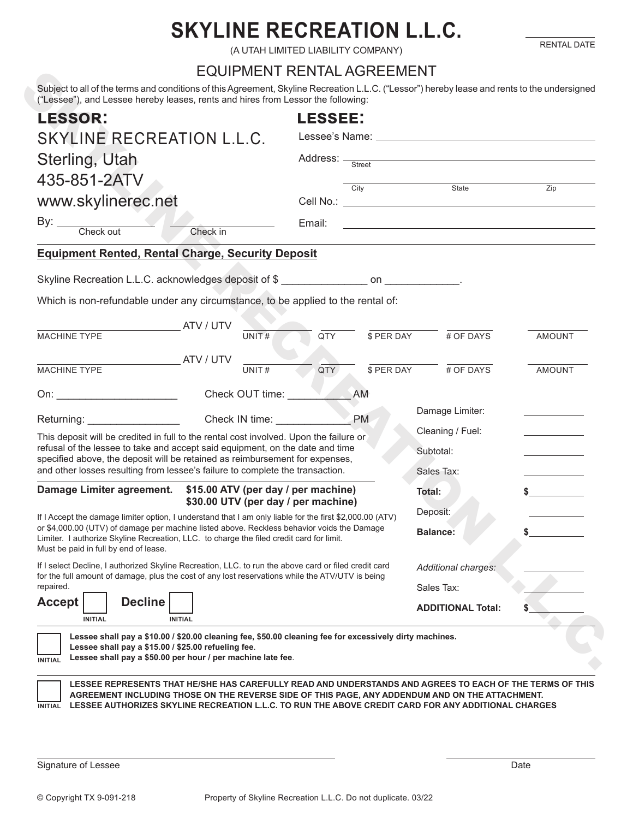## **SKYLINE RECREATION L.L.C.**

RENTAL DATE

(A UTAH LIMITED LIABILITY COMPANY)

## EQUIPMENT RENTAL AGREEMENT

| <b>LESSOR:</b>                                                                                                                                                                                                                  |                                                             | <b>LESSEE:</b>               |                                                                                                                                                                                                                                         |                 |                                                             |                  |
|---------------------------------------------------------------------------------------------------------------------------------------------------------------------------------------------------------------------------------|-------------------------------------------------------------|------------------------------|-----------------------------------------------------------------------------------------------------------------------------------------------------------------------------------------------------------------------------------------|-----------------|-------------------------------------------------------------|------------------|
| SKYLINE RECREATION L.L.C.<br>Sterling, Utah                                                                                                                                                                                     |                                                             |                              |                                                                                                                                                                                                                                         |                 |                                                             |                  |
|                                                                                                                                                                                                                                 |                                                             |                              | Address: <del>Street Same Contract</del> Street Street Street Street Street Street Street Street Street Street Street Street Street Street Street Street Street Street Street Street Street Street Street Street Street Street Street S |                 |                                                             |                  |
| 435-851-2ATV<br>www.skylinerec.net                                                                                                                                                                                              |                                                             |                              |                                                                                                                                                                                                                                         | City            | State                                                       | $\overline{Zip}$ |
|                                                                                                                                                                                                                                 |                                                             |                              |                                                                                                                                                                                                                                         |                 |                                                             |                  |
| By: Check out                                                                                                                                                                                                                   | Check in                                                    |                              | Email:                                                                                                                                                                                                                                  |                 | <u> 1989 - Johann Stoff, amerikansk politiker (d. 1989)</u> |                  |
| <b>Equipment Rented, Rental Charge, Security Deposit</b>                                                                                                                                                                        |                                                             |                              |                                                                                                                                                                                                                                         |                 |                                                             |                  |
| Skyline Recreation L.L.C. acknowledges deposit of \$                                                                                                                                                                            |                                                             |                              |                                                                                                                                                                                                                                         |                 |                                                             |                  |
| Which is non-refundable under any circumstance, to be applied to the rental of:                                                                                                                                                 |                                                             |                              |                                                                                                                                                                                                                                         |                 |                                                             |                  |
|                                                                                                                                                                                                                                 |                                                             |                              |                                                                                                                                                                                                                                         |                 |                                                             |                  |
| MACHINE TYPE                                                                                                                                                                                                                    | ATV / UTV                                                   | UNIT#                        | QTY                                                                                                                                                                                                                                     | \$ PER DAY      | # OF DAYS                                                   | <b>AMOUNT</b>    |
|                                                                                                                                                                                                                                 | <b>ATV / UTV</b>                                            |                              |                                                                                                                                                                                                                                         |                 |                                                             |                  |
| <b>MACHINE TYPE</b>                                                                                                                                                                                                             |                                                             | UNIT#                        | QTY                                                                                                                                                                                                                                     | \$ PER DAY      | # OF DAYS                                                   | <b>AMOUNT</b>    |
| On: when the contract of the contract of the contract of the contract of the contract of the contract of the contract of the contract of the contract of the contract of the contract of the contract of the contract of the c  |                                                             | Check OUT time:              |                                                                                                                                                                                                                                         | AM              |                                                             |                  |
| Returning: Network and Security and Security and Security and Security and Security and Security and Security and Security and Security and Security and Security and Security and Security and Security and Security and Secu  |                                                             | Check IN time: _____________ |                                                                                                                                                                                                                                         | <b>PM</b>       | Damage Limiter:                                             |                  |
| This deposit will be credited in full to the rental cost involved. Upon the failure or                                                                                                                                          |                                                             |                              |                                                                                                                                                                                                                                         |                 | Cleaning / Fuel:                                            |                  |
| refusal of the lessee to take and accept said equipment, on the date and time<br>specified above, the deposit will be retained as reimbursement for expenses,                                                                   |                                                             |                              |                                                                                                                                                                                                                                         |                 | Subtotal:                                                   |                  |
| and other losses resulting from lessee's failure to complete the transaction.                                                                                                                                                   |                                                             |                              |                                                                                                                                                                                                                                         |                 | Sales Tax:                                                  |                  |
| Damage Limiter agreement. \$15.00 ATV (per day / per machine)                                                                                                                                                                   |                                                             |                              | \$30.00 UTV (per day / per machine)                                                                                                                                                                                                     |                 | Total:                                                      | \$               |
| If I Accept the damage limiter option, I understand that I am only liable for the first \$2,000.00 (ATV)                                                                                                                        |                                                             |                              |                                                                                                                                                                                                                                         |                 | Deposit:                                                    |                  |
| or \$4,000.00 (UTV) of damage per machine listed above. Reckless behavior voids the Damage<br>Limiter. I authorize Skyline Recreation, LLC. to charge the filed credit card for limit.<br>Must be paid in full by end of lease. |                                                             |                              |                                                                                                                                                                                                                                         | <b>Balance:</b> | \$.                                                         |                  |
| If I select Decline, I authorized Skyline Recreation, LLC. to run the above card or filed credit card                                                                                                                           |                                                             |                              |                                                                                                                                                                                                                                         |                 | Additional charges:                                         |                  |
| for the full amount of damage, plus the cost of any lost reservations while the ATV/UTV is being<br>repaired.                                                                                                                   |                                                             |                              |                                                                                                                                                                                                                                         |                 | Sales Tax:                                                  |                  |
| <b>Decline</b><br><b>Accept</b><br><b>INITIAL</b>                                                                                                                                                                               | <b>INITIAL</b>                                              |                              |                                                                                                                                                                                                                                         |                 | <b>ADDITIONAL Total:</b>                                    |                  |
| Lessee shall pay a \$10.00 / \$20.00 cleaning fee, \$50.00 cleaning fee for excessively dirty machines.<br>Lessee shall pay a \$15.00 / \$25.00 refueling fee.                                                                  | Lessee shall pay a \$50.00 per hour / per machine late fee. |                              |                                                                                                                                                                                                                                         |                 |                                                             |                  |

Signature of Lessee Date Date of Lessee Date of Lessee Date of Lessee Date Date of Lessee Date Date of Lessee Date of Lessee Date of Lessee Date of Lessee Date of Lessee Date of Lessee Date of Lessee Date of Lessee Date of

 $\overline{a}$